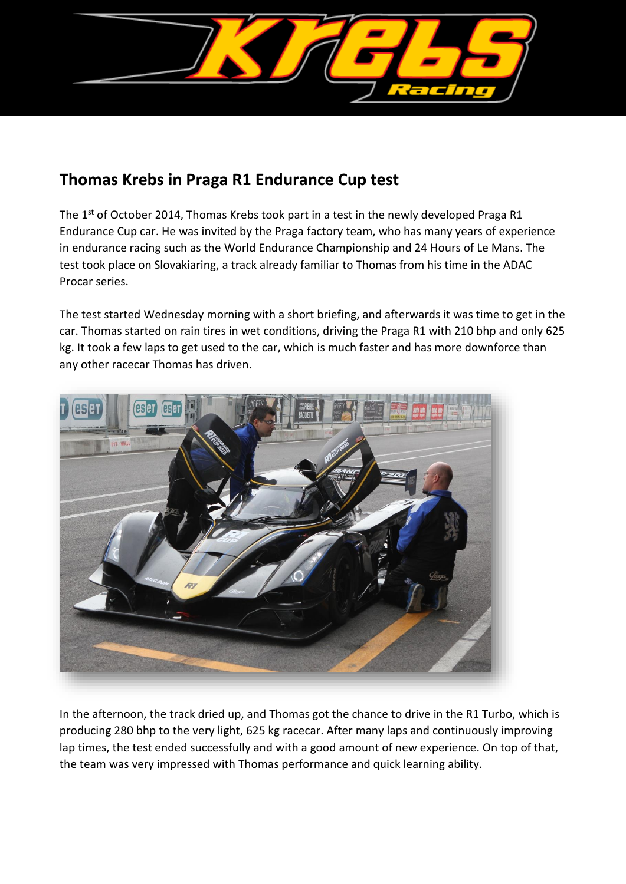

## **Thomas Krebs in Praga R1 Endurance Cup test**

The 1st of October 2014, Thomas Krebs took part in a test in the newly developed Praga R1 Endurance Cup car. He was invited by the Praga factory team, who has many years of experience in endurance racing such as the World Endurance Championship and 24 Hours of Le Mans. The test took place on Slovakiaring, a track already familiar to Thomas from his time in the ADAC Procar series.

The test started Wednesday morning with a short briefing, and afterwards it was time to get in the car. Thomas started on rain tires in wet conditions, driving the Praga R1 with 210 bhp and only 625 kg. It took a few laps to get used to the car, which is much faster and has more downforce than any other racecar Thomas has driven.



In the afternoon, the track dried up, and Thomas got the chance to drive in the R1 Turbo, which is producing 280 bhp to the very light, 625 kg racecar. After many laps and continuously improving lap times, the test ended successfully and with a good amount of new experience. On top of that, the team was very impressed with Thomas performance and quick learning ability.